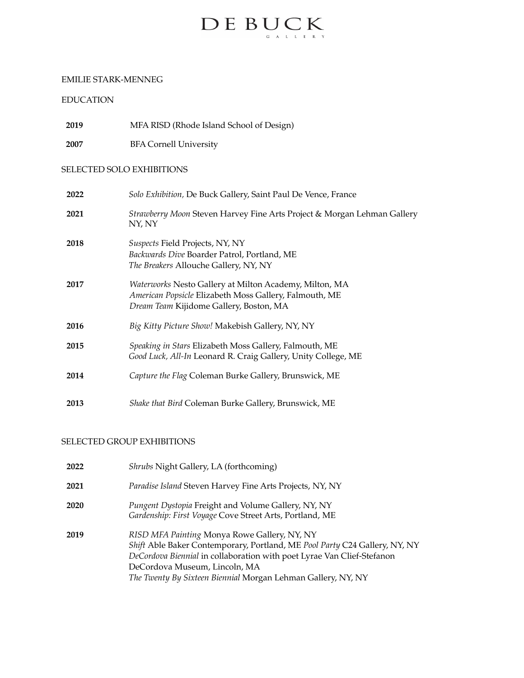

#### EMILIE STARK-MENNEG

#### EDUCATION

**2019** MFA RISD (Rhode Island School of Design)

**2007** BFA Cornell University

## SELECTED SOLO EXHIBITIONS

| 2022 | Solo Exhibition, De Buck Gallery, Saint Paul De Vence, France                                                                                               |
|------|-------------------------------------------------------------------------------------------------------------------------------------------------------------|
| 2021 | Strawberry Moon Steven Harvey Fine Arts Project & Morgan Lehman Gallery<br>NY, NY                                                                           |
| 2018 | Suspects Field Projects, NY, NY<br>Backwards Dive Boarder Patrol, Portland, ME<br>The Breakers Allouche Gallery, NY, NY                                     |
| 2017 | Waterworks Nesto Gallery at Milton Academy, Milton, MA<br>American Popsicle Elizabeth Moss Gallery, Falmouth, ME<br>Dream Team Kijidome Gallery, Boston, MA |
| 2016 | Big Kitty Picture Show! Makebish Gallery, NY, NY                                                                                                            |
| 2015 | Speaking in Stars Elizabeth Moss Gallery, Falmouth, ME<br>Good Luck, All-In Leonard R. Craig Gallery, Unity College, ME                                     |
| 2014 | Capture the Flag Coleman Burke Gallery, Brunswick, ME                                                                                                       |
| 2013 | Shake that Bird Coleman Burke Gallery, Brunswick, ME                                                                                                        |

#### SELECTED GROUP EXHIBITIONS

| 2022 | Shrubs Night Gallery, LA (forthcoming)                                                                                                                                                                                                                                                                |
|------|-------------------------------------------------------------------------------------------------------------------------------------------------------------------------------------------------------------------------------------------------------------------------------------------------------|
| 2021 | Paradise Island Steven Harvey Fine Arts Projects, NY, NY                                                                                                                                                                                                                                              |
| 2020 | Pungent Dystopia Freight and Volume Gallery, NY, NY<br>Gardenship: First Voyage Cove Street Arts, Portland, ME                                                                                                                                                                                        |
| 2019 | RISD MFA Painting Monya Rowe Gallery, NY, NY<br>Shift Able Baker Contemporary, Portland, ME Pool Party C24 Gallery, NY, NY<br>DeCordova Biennial in collaboration with poet Lyrae Van Clief-Stefanon<br>DeCordova Museum, Lincoln, MA<br>The Twenty By Sixteen Biennial Morgan Lehman Gallery, NY, NY |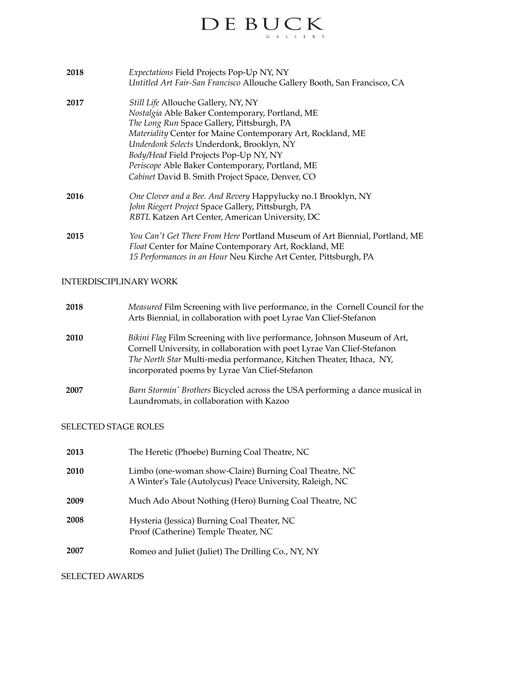# $D E B U C K$

| 2018 | <i>Expectations</i> Field Projects Pop-Up NY, NY                          |
|------|---------------------------------------------------------------------------|
|      | Untitled Art Fair-San Francisco Allouche Gallery Booth, San Francisco, CA |

| 2017  | Still Life Allouche Gallery, NY, NY                                                                                                                                                                                                                                                                                                             |
|-------|-------------------------------------------------------------------------------------------------------------------------------------------------------------------------------------------------------------------------------------------------------------------------------------------------------------------------------------------------|
|       | Nostalgia Able Baker Contemporary, Portland, ME                                                                                                                                                                                                                                                                                                 |
|       | The Long Run Space Gallery, Pittsburgh, PA                                                                                                                                                                                                                                                                                                      |
|       | Materiality Center for Maine Contemporary Art, Rockland, ME                                                                                                                                                                                                                                                                                     |
|       | Underdonk Selects Underdonk, Brooklyn, NY                                                                                                                                                                                                                                                                                                       |
|       | Body/Head Field Projects Pop-Up NY, NY                                                                                                                                                                                                                                                                                                          |
|       | Periscope Able Baker Contemporary, Portland, ME                                                                                                                                                                                                                                                                                                 |
|       | Cabinet David B. Smith Project Space, Denver, CO                                                                                                                                                                                                                                                                                                |
| 0.01c | $Q_{11}, Q_{22}, \ldots, Q_{n-1}, I_{n}, Q_{n-1}, Q_{n-1}, Q_{n-1}, Q_{n-1}, Q_{n-1}, Q_{n-1}, Q_{n-1}, Q_{n-1}, Q_{n-1}, Q_{n-1}, Q_{n-1}, Q_{n-1}, Q_{n-1}, Q_{n-1}, Q_{n-1}, Q_{n-1}, Q_{n-1}, Q_{n-1}, Q_{n-1}, Q_{n-1}, Q_{n-1}, Q_{n-1}, Q_{n-1}, Q_{n-1}, Q_{n-1}, Q_{n-1}, Q_{n-1}, Q_{n-1}, Q_{n-1}, Q_{n-1}, Q_{n-1}, Q_{n-1}, Q_{n-$ |

- **2016** *One Clover and a Bee. And Revery* Happylucky no.1 Brooklyn, NY *John Riegert Project* Space Gallery, Pittsburgh, PA *RBTL* Katzen Art Center, American University, DC
- **2015** *You Can't Get There From Here* Portland Museum of Art Biennial, Portland, ME *Float* Center for Maine Contemporary Art, Rockland, ME *15 Performances in an Hour* Neu Kirche Art Center, Pittsburgh, PA

#### INTERDISCIPLINARY WORK

| 2018 | Measured Film Screening with live performance, in the Cornell Council for the<br>Arts Biennial, in collaboration with poet Lyrae Van Clief-Stefanon                                                                                                                           |
|------|-------------------------------------------------------------------------------------------------------------------------------------------------------------------------------------------------------------------------------------------------------------------------------|
| 2010 | Bikini Flag Film Screening with live performance, Johnson Museum of Art,<br>Cornell University, in collaboration with poet Lyrae Van Clief-Stefanon<br>The North Star Multi-media performance, Kitchen Theater, Ithaca, NY,<br>incorporated poems by Lyrae Van Clief-Stefanon |
| 2007 | Barn Stormin' Brothers Bicycled across the USA performing a dance musical in<br>Laundromats, in collaboration with Kazoo                                                                                                                                                      |

### SELECTED STAGE ROLES

| 2013 | The Heretic (Phoebe) Burning Coal Theatre, NC                                                                       |
|------|---------------------------------------------------------------------------------------------------------------------|
| 2010 | Limbo (one-woman show-Claire) Burning Coal Theatre, NC<br>A Winter's Tale (Autolycus) Peace University, Raleigh, NC |
| 2009 | Much Ado About Nothing (Hero) Burning Coal Theatre, NC                                                              |
| 2008 | Hysteria (Jessica) Burning Coal Theater, NC<br>Proof (Catherine) Temple Theater, NC                                 |
| 2007 | Romeo and Juliet (Juliet) The Drilling Co., NY, NY                                                                  |

#### SELECTED AWARDS